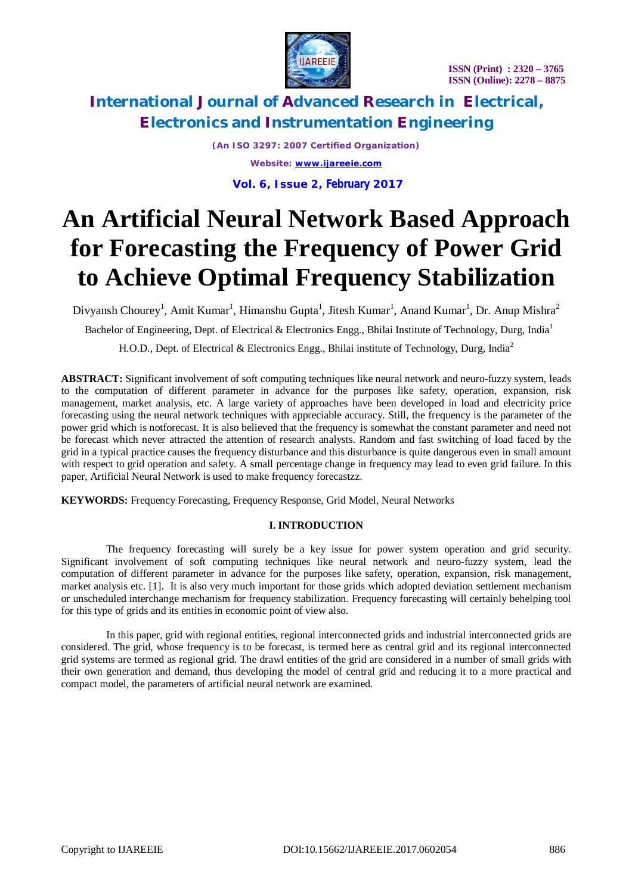



*(An ISO 3297: 2007 Certified Organization) Website: [www.ijareeie.com](http://www.ijareeie.com)* **Vol. 6, Issue 2, February 2017**

# **An Artificial Neural Network Based Approach for Forecasting the Frequency of Power Grid to Achieve Optimal Frequency Stabilization**

Divyansh Chourey<sup>1</sup>, Amit Kumar<sup>1</sup>, Himanshu Gupta<sup>1</sup>, Jitesh Kumar<sup>1</sup>, Anand Kumar<sup>1</sup>, Dr. Anup Mishra<sup>2</sup>

Bachelor of Engineering, Dept. of Electrical & Electronics Engg., Bhilai Institute of Technology, Durg, India<sup>1</sup>

H.O.D., Dept. of Electrical & Electronics Engg., Bhilai institute of Technology, Durg, India<sup>2</sup>

**ABSTRACT:** Significant involvement of soft computing techniques like neural network and neuro-fuzzy system, leads to the computation of different parameter in advance for the purposes like safety, operation, expansion, risk management, market analysis, etc. A large variety of approaches have been developed in load and electricity price forecasting using the neural network techniques with appreciable accuracy. Still, the frequency is the parameter of the power grid which is notforecast. It is also believed that the frequency is somewhat the constant parameter and need not be forecast which never attracted the attention of research analysts. Random and fast switching of load faced by the grid in a typical practice causes the frequency disturbance and this disturbance is quite dangerous even in small amount with respect to grid operation and safety. A small percentage change in frequency may lead to even grid failure. In this paper, Artificial Neural Network is used to make frequency forecastzz.

**KEYWORDS:** Frequency Forecasting, Frequency Response, Grid Model, Neural Networks

### **I. INTRODUCTION**

The frequency forecasting will surely be a key issue for power system operation and grid security. Significant involvement of soft computing techniques like neural network and neuro-fuzzy system, lead the computation of different parameter in advance for the purposes like safety, operation, expansion, risk management, market analysis etc. [1]. It is also very much important for those grids which adopted deviation settlement mechanism or unscheduled interchange mechanism for frequency stabilization. Frequency forecasting will certainly behelping tool for this type of grids and its entities in economic point of view also.

In this paper, grid with regional entities, regional interconnected grids and industrial interconnected grids are considered. The grid, whose frequency is to be forecast, is termed here as central grid and its regional interconnected grid systems are termed as regional grid. The drawl entities of the grid are considered in a number of small grids with their own generation and demand, thus developing the model of central grid and reducing it to a more practical and compact model, the parameters of artificial neural network are examined.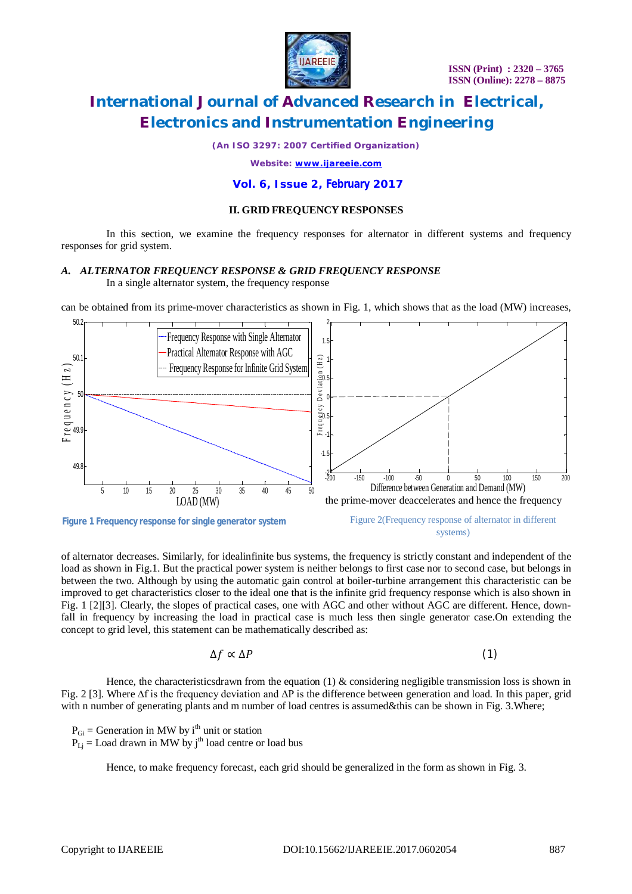

*(An ISO 3297: 2007 Certified Organization)*

*Website: [www.ijareeie.com](http://www.ijareeie.com)*

**Vol. 6, Issue 2, February 2017**

#### **II. GRID FREQUENCY RESPONSES**

In this section, we examine the frequency responses for alternator in different systems and frequency responses for grid system.

#### *A. ALTERNATOR FREQUENCY RESPONSE & GRID FREQUENCY RESPONSE*

In a single alternator system, the frequency response

can be obtained from its prime-mover characteristics as shown in Fig. 1, which shows that as the load (MW) increases,



of alternator decreases. Similarly, for idealinfinite bus systems, the frequency is strictly constant and independent of the load as shown in Fig.1. But the practical power system is neither belongs to first case nor to second case, but belongs in between the two. Although by using the automatic gain control at boiler-turbine arrangement this characteristic can be improved to get characteristics closer to the ideal one that is the infinite grid frequency response which is also shown in Fig. 1 [2][3]. Clearly, the slopes of practical cases, one with AGC and other without AGC are different. Hence, downfall in frequency by increasing the load in practical case is much less then single generator case.On extending the concept to grid level, this statement can be mathematically described as:

$$
\Delta f \propto \Delta P \tag{1}
$$

Hence, the characteristicsdrawn from the equation (1)  $\&$  considering negligible transmission loss is shown in Fig. 2 [3]. Where ∆f is the frequency deviation and ∆P is the difference between generation and load. In this paper, grid with n number of generating plants and m number of load centres is assumed&this can be shown in Fig. 3. Where;

 $P_{\text{Gi}}$  = Generation in MW by i<sup>th</sup> unit or station

 $P_{Li}$  = Load drawn in MW by j<sup>th</sup> load centre or load bus

Hence, to make frequency forecast, each grid should be generalized in the form as shown in Fig. 3.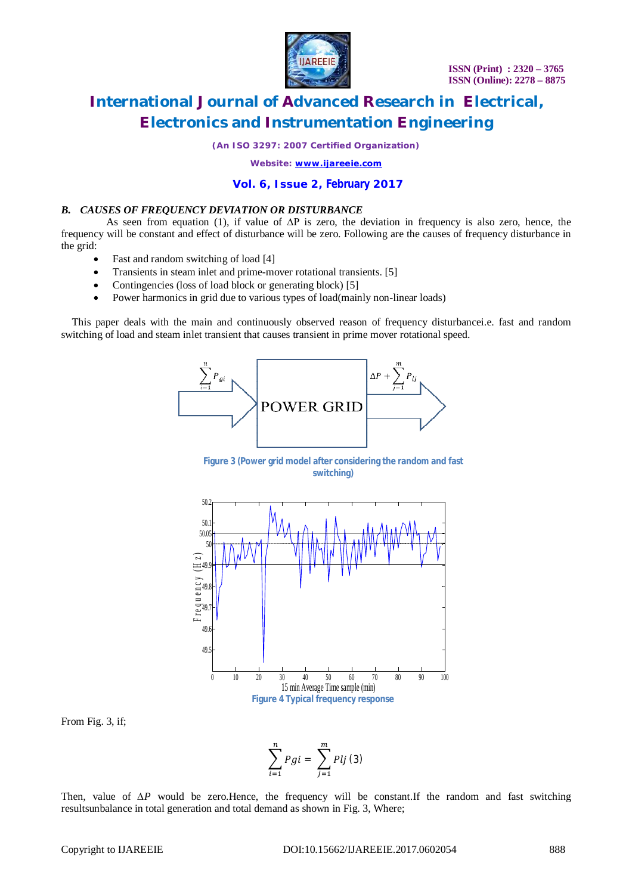

*(An ISO 3297: 2007 Certified Organization)*

*Website: [www.ijareeie.com](http://www.ijareeie.com)*

#### **Vol. 6, Issue 2, February 2017**

#### *B. CAUSES OF FREQUENCY DEVIATION OR DISTURBANCE*

As seen from equation (1), if value of ∆P is zero, the deviation in frequency is also zero, hence, the frequency will be constant and effect of disturbance will be zero. Following are the causes of frequency disturbance in the grid:

- Fast and random switching of load [4]
- Transients in steam inlet and prime-mover rotational transients. [5]
- Contingencies (loss of load block or generating block) [5]
- Power harmonics in grid due to various types of load(mainly non-linear loads)

This paper deals with the main and continuously observed reason of frequency disturbancei.e. fast and random switching of load and steam inlet transient that causes transient in prime mover rotational speed.



**Figure 3 (Power grid model after considering the random and fast switching)**



From Fig. 3, if;

$$
\sum_{i=1}^{n} Pgi = \sum_{j=1}^{m} Plj (3)
$$

Then, value of *ΔP* would be zero.Hence, the frequency will be constant.If the random and fast switching resultsunbalance in total generation and total demand as shown in Fig. 3, Where;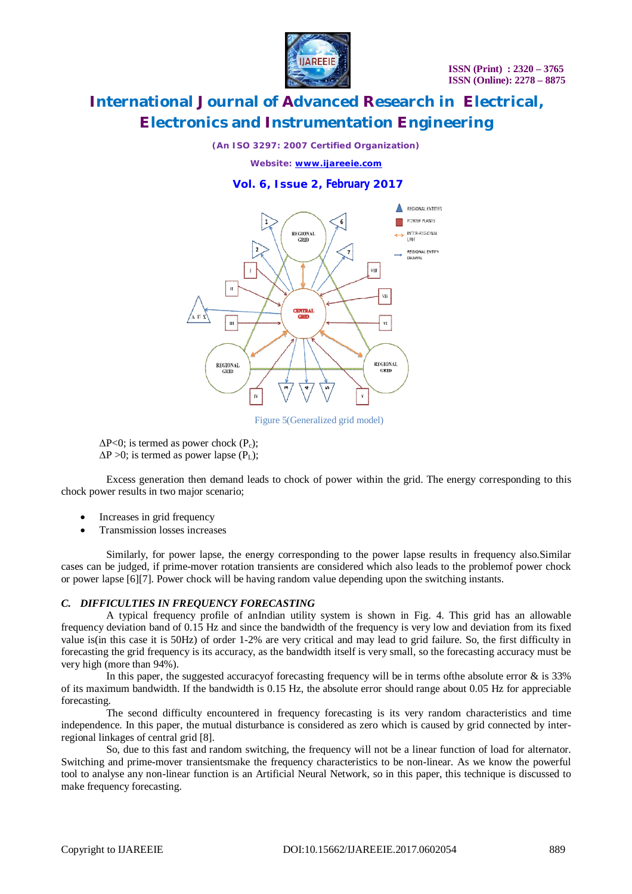

#### *(An ISO 3297: 2007 Certified Organization)*

*Website: [www.ijareeie.com](http://www.ijareeie.com)*

#### **Vol. 6, Issue 2, February 2017**



Figure 5(Generalized grid model)

 $\Delta P < 0$ ; is termed as power chock  $(P_c)$ ;  $\Delta P > 0$ ; is termed as power lapse (P<sub>L</sub>);

Excess generation then demand leads to chock of power within the grid. The energy corresponding to this chock power results in two major scenario;

- Increases in grid frequency
- Transmission losses increases

Similarly, for power lapse, the energy corresponding to the power lapse results in frequency also.Similar cases can be judged, if prime-mover rotation transients are considered which also leads to the problemof power chock or power lapse [6][7]. Power chock will be having random value depending upon the switching instants.

#### *C. DIFFICULTIES IN FREQUENCY FORECASTING*

A typical frequency profile of anIndian utility system is shown in Fig. 4. This grid has an allowable frequency deviation band of 0.15 Hz and since the bandwidth of the frequency is very low and deviation from its fixed value is(in this case it is 50Hz) of order 1-2% are very critical and may lead to grid failure. So, the first difficulty in forecasting the grid frequency is its accuracy, as the bandwidth itself is very small, so the forecasting accuracy must be very high (more than 94%).

In this paper, the suggested accuracy of forecasting frequency will be in terms of the absolute error & is 33% of its maximum bandwidth. If the bandwidth is 0.15 Hz, the absolute error should range about 0.05 Hz for appreciable forecasting.

The second difficulty encountered in frequency forecasting is its very random characteristics and time independence. In this paper, the mutual disturbance is considered as zero which is caused by grid connected by interregional linkages of central grid [8].

So, due to this fast and random switching, the frequency will not be a linear function of load for alternator. Switching and prime-mover transientsmake the frequency characteristics to be non-linear. As we know the powerful tool to analyse any non-linear function is an Artificial Neural Network, so in this paper, this technique is discussed to make frequency forecasting.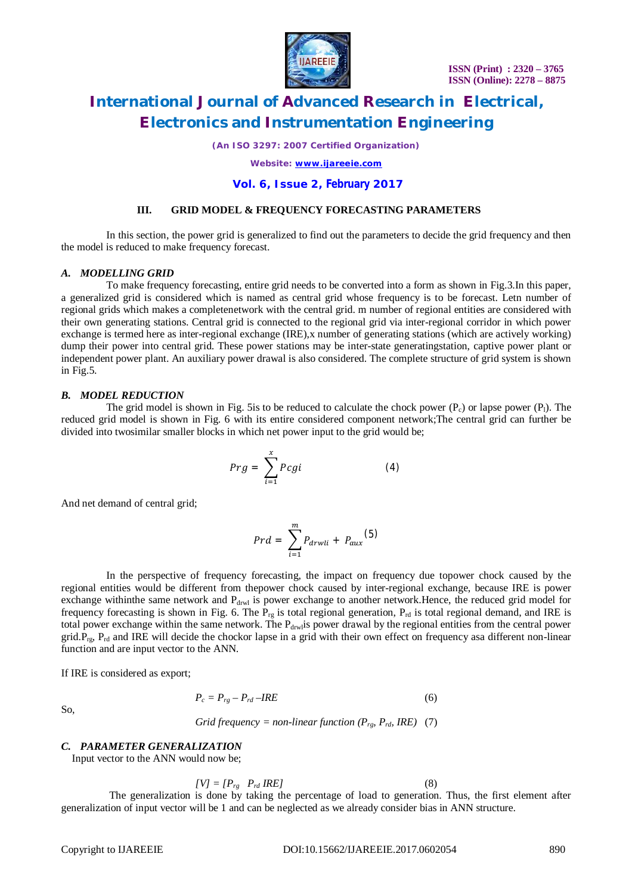

*(An ISO 3297: 2007 Certified Organization)*

*Website: [www.ijareeie.com](http://www.ijareeie.com)*

#### **Vol. 6, Issue 2, February 2017**

#### **III. GRID MODEL & FREQUENCY FORECASTING PARAMETERS**

In this section, the power grid is generalized to find out the parameters to decide the grid frequency and then the model is reduced to make frequency forecast.

#### *A. MODELLING GRID*

To make frequency forecasting, entire grid needs to be converted into a form as shown in Fig.3.In this paper, a generalized grid is considered which is named as central grid whose frequency is to be forecast. Letn number of regional grids which makes a completenetwork with the central grid. m number of regional entities are considered with their own generating stations. Central grid is connected to the regional grid via inter-regional corridor in which power exchange is termed here as inter-regional exchange (IRE),x number of generating stations (which are actively working) dump their power into central grid. These power stations may be inter-state generatingstation, captive power plant or independent power plant. An auxiliary power drawal is also considered. The complete structure of grid system is shown in Fig.5.

#### *B. MODEL REDUCTION*

The grid model is shown in Fig. 5is to be reduced to calculate the chock power  $(P_c)$  or lapse power  $(P_l)$ . The reduced grid model is shown in Fig. 6 with its entire considered component network;The central grid can further be divided into twosimilar smaller blocks in which net power input to the grid would be;

$$
Prg = \sum_{i=1}^{x} Pcgi \tag{4}
$$

And net demand of central grid;

$$
Prd = \sum_{i=1}^{m} P_{drwli} + P_{aux}(5)
$$

In the perspective of frequency forecasting, the impact on frequency due topower chock caused by the regional entities would be different from thepower chock caused by inter-regional exchange, because IRE is power exchange withinthe same network and P<sub>drwl</sub> is power exchange to another network.Hence, the reduced grid model for frequency forecasting is shown in Fig. 6. The  $P_{rg}$  is total regional generation,  $P_{rd}$  is total regional demand, and IRE is total power exchange within the same network. The  $P_{drw1}$  power drawal by the regional entities from the central power grid. $P_{\text{r},P_{\text{rd}}}$  and IRE will decide the chockor lapse in a grid with their own effect on frequency asa different non-linear function and are input vector to the ANN.

If IRE is considered as export;

$$
P_c = P_{rg} - P_{rd} - IRE \tag{6}
$$

So,

*Grid frequency = non-linear function (* $P_{rg}$ *,*  $P_{rd}$ *, IRE) (7)* 

#### *C. PARAMETER GENERALIZATION*

Input vector to the ANN would now be;

$$
[V] = [P_{rg} \quad P_{rd} \, IRE]
$$
 (8)

The generalization is done by taking the percentage of load to generation. Thus, the first element after generalization of input vector will be 1 and can be neglected as we already consider bias in ANN structure.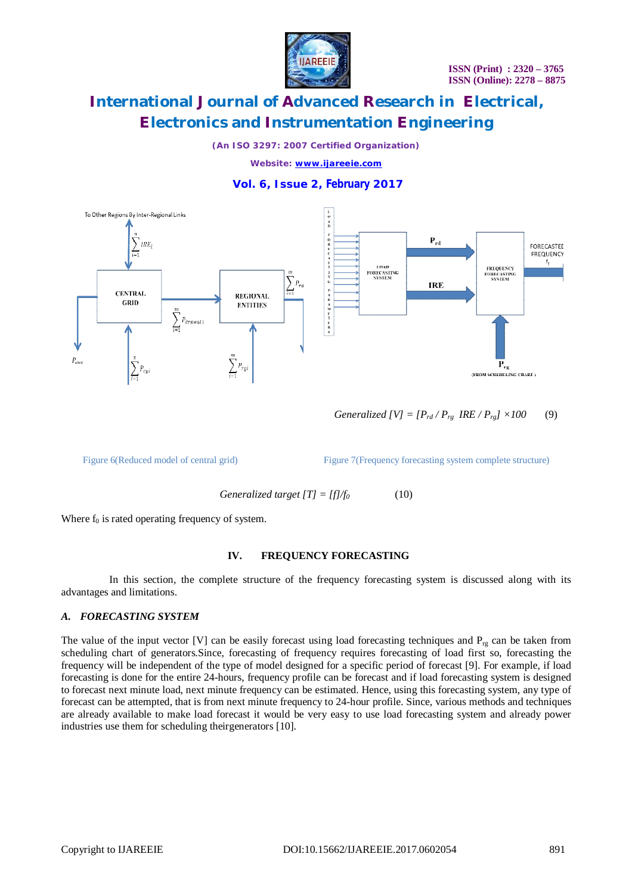

*(An ISO 3297: 2007 Certified Organization)*

*Website: [www.ijareeie.com](http://www.ijareeie.com)*

### **Vol. 6, Issue 2, February 2017**



*Generalized [V]* =  $[P_{rd}/P_{rg}$  *IRE*  $/P_{rg}$ */ ×100* (9)

Figure 6(Reduced model of central grid) Figure 7(Frequency forecasting system complete structure)

Generalized target 
$$
[T] = [f]/f_0
$$
 (10)

Where  $f_0$  is rated operating frequency of system.

#### **IV. FREQUENCY FORECASTING**

In this section, the complete structure of the frequency forecasting system is discussed along with its advantages and limitations.

#### *A. FORECASTING SYSTEM*

The value of the input vector [V] can be easily forecast using load forecasting techniques and  $P_{rg}$  can be taken from scheduling chart of generators.Since, forecasting of frequency requires forecasting of load first so, forecasting the frequency will be independent of the type of model designed for a specific period of forecast [9]. For example, if load forecasting is done for the entire 24-hours, frequency profile can be forecast and if load forecasting system is designed to forecast next minute load, next minute frequency can be estimated. Hence, using this forecasting system, any type of forecast can be attempted, that is from next minute frequency to 24-hour profile. Since, various methods and techniques are already available to make load forecast it would be very easy to use load forecasting system and already power industries use them for scheduling theirgenerators [10].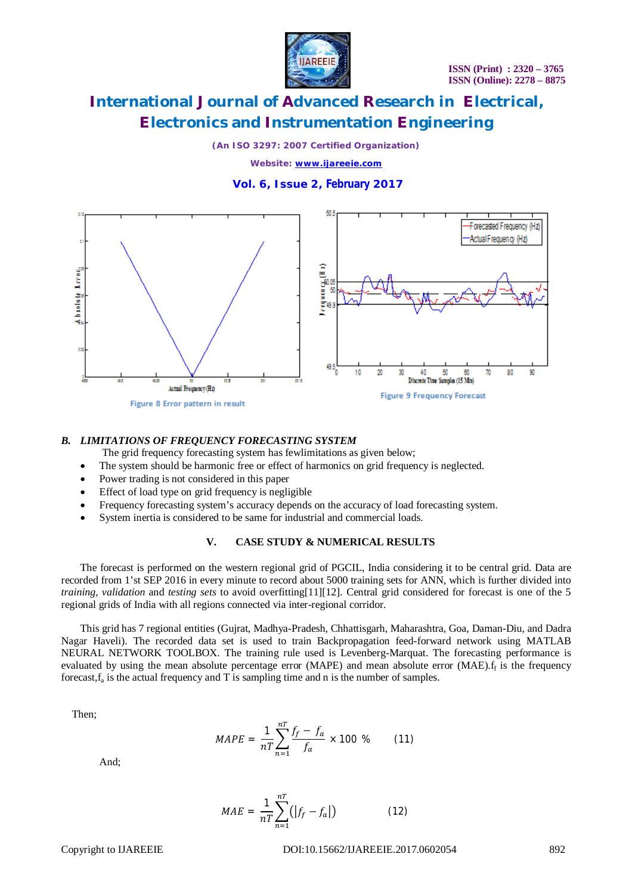

*(An ISO 3297: 2007 Certified Organization)*

*Website: [www.ijareeie.com](http://www.ijareeie.com)*

### **Vol. 6, Issue 2, February 2017**



#### *B. LIMITATIONS OF FREQUENCY FORECASTING SYSTEM*

The grid frequency forecasting system has fewlimitations as given below;

- The system should be harmonic free or effect of harmonics on grid frequency is neglected.
- Power trading is not considered in this paper
- Effect of load type on grid frequency is negligible
- Frequency forecasting system's accuracy depends on the accuracy of load forecasting system.
- System inertia is considered to be same for industrial and commercial loads.

#### **V. CASE STUDY & NUMERICAL RESULTS**

The forecast is performed on the western regional grid of PGCIL, India considering it to be central grid. Data are recorded from 1'st SEP 2016 in every minute to record about 5000 training sets for ANN, which is further divided into *training, validation* and *testing sets* to avoid overfitting[11][12]. Central grid considered for forecast is one of the 5 regional grids of India with all regions connected via inter-regional corridor.

This grid has 7 regional entities (Gujrat, Madhya-Pradesh, Chhattisgarh, Maharashtra, Goa, Daman-Diu, and Dadra Nagar Haveli). The recorded data set is used to train Backpropagation feed-forward network using MATLAB NEURAL NETWORK TOOLBOX. The training rule used is Levenberg-Marquat. The forecasting performance is evaluated by using the mean absolute percentage error (MAPE) and mean absolute error (MAE). If is the frequency forecast, $f_a$  is the actual frequency and T is sampling time and n is the number of samples.

Then;

$$
MAPE = \frac{1}{nT} \sum_{n=1}^{nT} \frac{f_f - f_a}{f_a} \times 100 \text{ % (11)}
$$

And;

$$
MAE = \frac{1}{nT} \sum_{n=1}^{nT} (|f_f - f_a|)
$$
 (12)